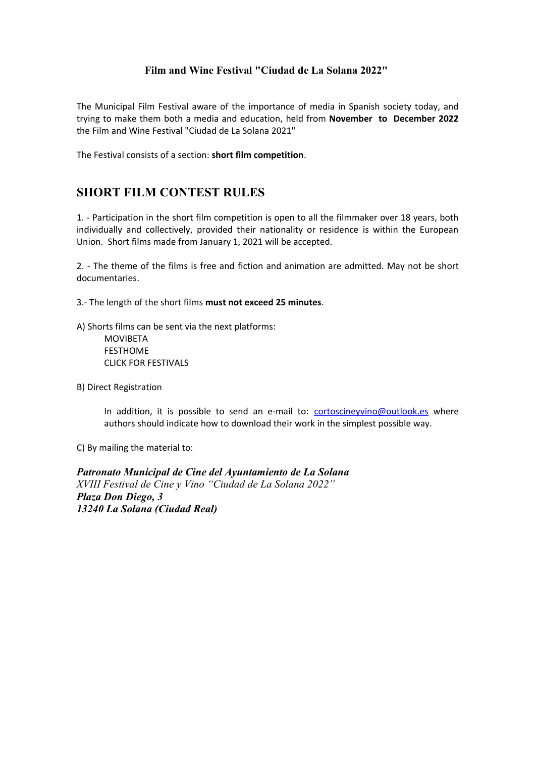#### **Film and Wine Festival "Ciudad de La Solana 2022"**

The Municipal Film Festival aware of the importance of media in Spanish society today, and trying to make them both a media and education, held from **November to December 2022** the Film and Wine Festival "Ciudad de La Solana 2021"

The Festival consists of a section: **short film competition**.

# **SHORT FILM CONTEST RULES**

1. - Participation in the short film competition is open to all the filmmaker over 18 years, both individually and collectively, provided their nationality or residence is within the European Union. Short films made from January 1, 2021 will be accepted.

2. - The theme of the films is free and fiction and animation are admitted. May not be short documentaries.

3.- The length of the short films **must not exceed 25 minutes**.

A) Shorts films can be sent via the next platforms:

MOVIBETA FESTHOME CLICK FOR FESTIVALS

B) Direct Registration

In addition, it is possible to send an e-mail to: [cortoscineyvino@outlook.es](mailto:cortoscineyvino@outlook.es) where authors should indicate how to download their work in the simplest possible way.

C) By mailing the material to:

*Patronato Municipal de Cine del Ayuntamiento de La Solana XVIII Festival de Cine y Vino "Ciudad de La Solana 2022" Plaza Don Diego, 3 13240 La Solana (Ciudad Real)*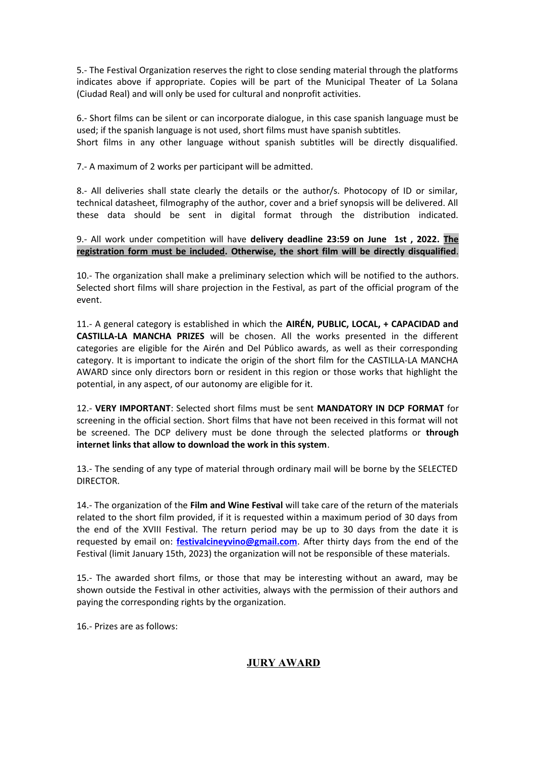5.- The Festival Organization reserves the right to close sending material through the platforms indicates above if appropriate. Copies will be part of the Municipal Theater of La Solana (Ciudad Real) and will only be used for cultural and nonprofit activities.

6.- Short films can be silent or can incorporate dialogue, in this case spanish language must be used; if the spanish language is not used, short films must have spanish subtitles. Short films in any other language without spanish subtitles will be directly disqualified.

7.- A maximum of 2 works per participant will be admitted.

8.- All deliveries shall state clearly the details or the author/s. Photocopy of ID or similar, technical datasheet, filmography of the author, cover and a brief synopsis will be delivered. All these data should be sent in digital format through the distribution indicated.

9.- All work under competition will have **delivery deadline 23:59 on June 1st , 2022. The registration form must be included. Otherwise, the short film will be directly disqualified**.

10.- The organization shall make a preliminary selection which will be notified to the authors. Selected short films will share projection in the Festival, as part of the official program of the event.

11.- A general category is established in which the **AIRÉN, PUBLIC, LOCAL, + CAPACIDAD and CASTILLA-LA MANCHA PRIZES** will be chosen. All the works presented in the different categories are eligible for the Airén and Del Público awards, as well as their corresponding category. It is important to indicate the origin of the short film for the CASTILLA-LA MANCHA AWARD since only directors born or resident in this region or those works that highlight the potential, in any aspect, of our autonomy are eligible for it.

12.- **VERY IMPORTANT**: Selected short films must be sent **MANDATORY IN DCP FORMAT** for screening in the official section. Short films that have not been received in this format will not be screened. The DCP delivery must be done through the selected platforms or **through internet links that allow to download the work in this system**.

13.- The sending of any type of material through ordinary mail will be borne by the SELECTED DIRECTOR.

14.- The organization of the **Film and Wine Festival** will take care of the return of the materials related to the short film provided, if it is requested within a maximum period of 30 days from the end of the XVIII Festival. The return period may be up to 30 days from the date it is requested by email on: **festivalcineyvino@gmail.com**. After thirty days from the end of the Festival (limit January 15th, 2023) the organization will not be responsible of these materials.

15.- The awarded short films, or those that may be interesting without an award, may be shown outside the Festival in other activities, always with the permission of their authors and paying the corresponding rights by the organization.

16.- Prizes are as follows:

## **JURY AWARD**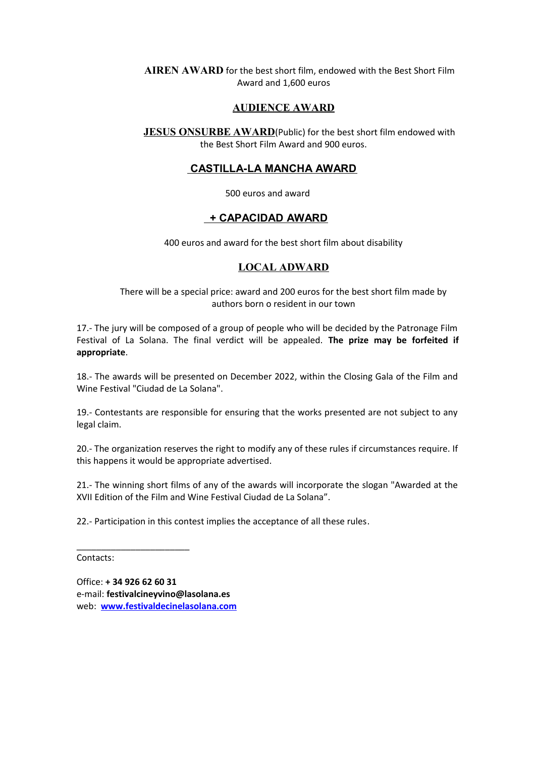#### **AIREN AWARD** for the best short film, endowed with the Best Short Film Award and 1,600 euros

#### **AUDIENCE AWARD**

**JESUS ONSURBE AWARD**(Public) for the best short film endowed with the Best Short Film Award and 900 euros.

#### **CASTILLA-LA MANCHA AWARD**

500 euros and award

#### **+ CAPACIDAD AWARD**

400 euros and award for the best short film about disability

#### **LOCAL ADWARD**

There will be a special price: award and 200 euros for the best short film made by authors born o resident in our town

17.- The jury will be composed of a group of people who will be decided by the Patronage Film Festival of La Solana. The final verdict will be appealed. **The prize may be forfeited if appropriate**.

18.- The awards will be presented on December 2022, within the Closing Gala of the Film and Wine Festival "Ciudad de La Solana".

19.- Contestants are responsible for ensuring that the works presented are not subject to any legal claim.

20.- The organization reserves the right to modify any of these rules if circumstances require. If this happens it would be appropriate advertised.

21.- The winning short films of any of the awards will incorporate the slogan "Awarded at the XVII Edition of the Film and Wine Festival Ciudad de La Solana".

22.- Participation in this contest implies the acceptance of all these rules.

Contacts:

Office: **+ 34 926 62 60 31** e-mail: **festivalcineyvino@lasolana.es** web: **[www.festivaldecinelasolana.com](http://www.festivaldecinelasolana.com/)**

\_\_\_\_\_\_\_\_\_\_\_\_\_\_\_\_\_\_\_\_\_\_\_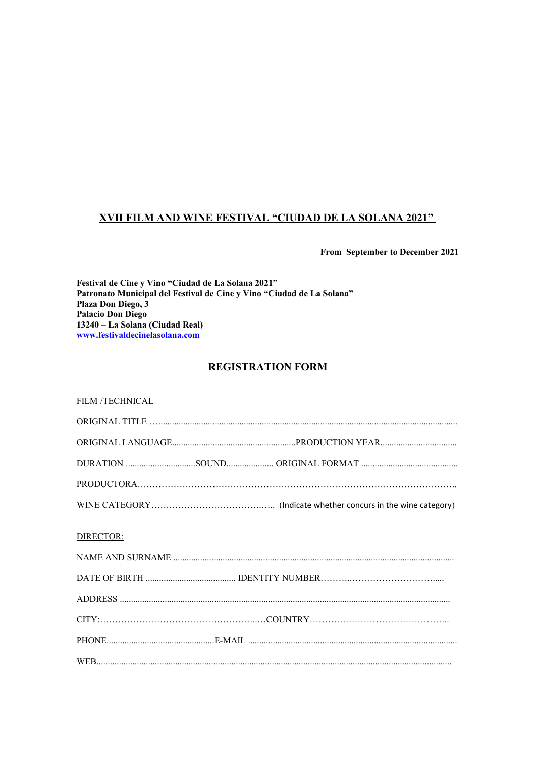#### **XVII FILM AND WINE FESTIVAL "CIUDAD DE LA SOLANA 2021"**

**From September to December 2021**

**Festival de Cine y Vino "Ciudad de La Solana 2021" Patronato Municipal del Festival de Cine y Vino "Ciudad de La Solana" Plaza Don Diego, 3 Palacio Don Diego 13240 – La Solana (Ciudad Real) [www.festivaldecinelasolana.com](http://www.festivaldecinelasolana.com/)**

#### **REGISTRATION FORM**

| <b>FILM /TECHNICAL</b> |
|------------------------|
|------------------------|

| $ORIGINAL\hspace{.1cm}TITLE\hspace{.1cm}.\hspace{1cm}.\hspace{1cm}.\hspace{1cm}.\hspace{1cm}.\hspace{1cm}.\hspace{1cm}.\hspace{1cm}.\hspace{1cm}.\hspace{1cm}.\hspace{1cm}.\hspace{1cm}.\hspace{1cm}.\hspace{1cm}.\hspace{1cm}.\hspace{1cm}.\hspace{1cm}.\hspace{1cm}.\hspace{1cm}.\hspace{1cm}.\hspace{1cm}.\hspace{1cm}.\hspace{1cm}.\hspace{1cm}.\hspace{1cm}.\hspace{1cm}.\hspace{1cm}.\hspace{1cm}.\hspace{1cm}.\hs$ |
|---------------------------------------------------------------------------------------------------------------------------------------------------------------------------------------------------------------------------------------------------------------------------------------------------------------------------------------------------------------------------------------------------------------------------|
|                                                                                                                                                                                                                                                                                                                                                                                                                           |
|                                                                                                                                                                                                                                                                                                                                                                                                                           |
|                                                                                                                                                                                                                                                                                                                                                                                                                           |
|                                                                                                                                                                                                                                                                                                                                                                                                                           |
|                                                                                                                                                                                                                                                                                                                                                                                                                           |
| DIRECTOR:                                                                                                                                                                                                                                                                                                                                                                                                                 |
|                                                                                                                                                                                                                                                                                                                                                                                                                           |
|                                                                                                                                                                                                                                                                                                                                                                                                                           |
|                                                                                                                                                                                                                                                                                                                                                                                                                           |
|                                                                                                                                                                                                                                                                                                                                                                                                                           |
|                                                                                                                                                                                                                                                                                                                                                                                                                           |
|                                                                                                                                                                                                                                                                                                                                                                                                                           |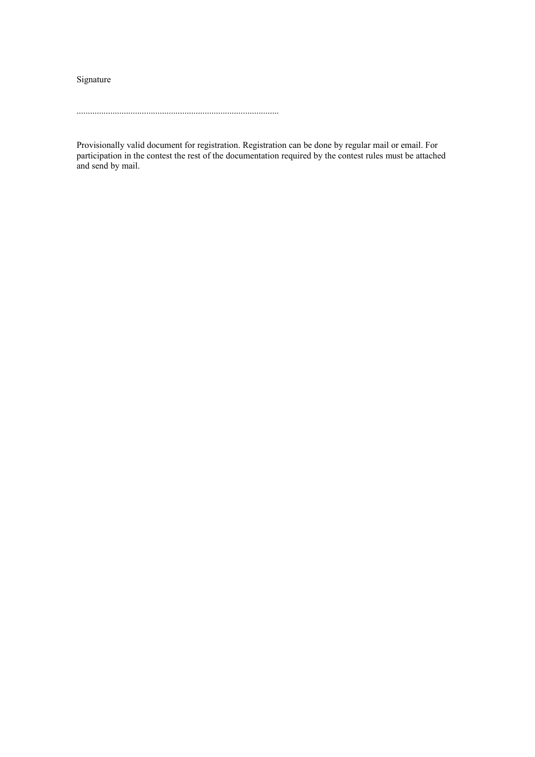Signature

..........................................................................................

Provisionally valid document for registration. Registration can be done by regular mail or email. For participation in the contest the rest of the documentation required by the contest rules must be attached and send by mail.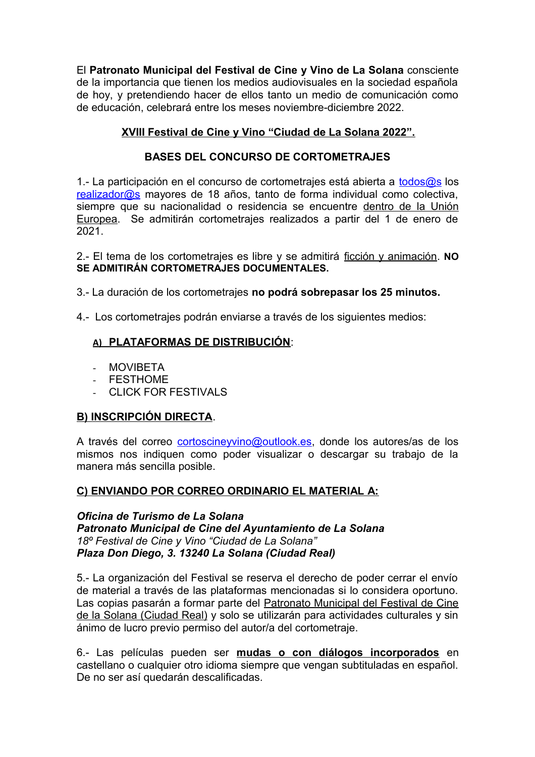El **Patronato Municipal del Festival de Cine y Vino de La Solana** consciente de la importancia que tienen los medios audiovisuales en la sociedad española de hoy, y pretendiendo hacer de ellos tanto un medio de comunicación como de educación, celebrará entre los meses noviembre-diciembre 2022.

# **XVIII Festival de Cine y Vino "Ciudad de La Solana 2022".**

# **BASES DEL CONCURSO DE CORTOMETRAJES**

1.- La participación en el concurso de cortometrajes está abierta a [todos@s](mailto:todos@s) los [realizador@s](mailto:realizador@s) mayores de 18 años, tanto de forma individual como colectiva, siempre que su nacionalidad o residencia se encuentre dentro de la Unión Europea. Se admitirán cortometrajes realizados a partir del 1 de enero de 2021.

2.- El tema de los cortometrajes es libre y se admitirá ficción y animación. **NO SE ADMITIRÁN CORTOMETRAJES DOCUMENTALES.**

3.- La duración de los cortometrajes **no podrá sobrepasar los 25 minutos.**

4.- Los cortometrajes podrán enviarse a través de los siguientes medios:

## **A) PLATAFORMAS DE DISTRIBUCIÓN**:

- MOVIBETA
- FESTHOME
- CLICK FOR FESTIVALS

## **B) INSCRIPCIÓN DIRECTA**.

A través del correo *cortoscineyvino@outlook.es*, donde los autores/as de los mismos nos indiquen como poder visualizar o descargar su trabajo de la manera más sencilla posible.

## **C) ENVIANDO POR CORREO ORDINARIO EL MATERIAL A:**

*Oficina de Turismo de La Solana Patronato Municipal de Cine del Ayuntamiento de La Solana 18º Festival de Cine y Vino "Ciudad de La Solana" Plaza Don Diego, 3. 13240 La Solana (Ciudad Real)*

5.- La organización del Festival se reserva el derecho de poder cerrar el envío de material a través de las plataformas mencionadas si lo considera oportuno. Las copias pasarán a formar parte del Patronato Municipal del Festival de Cine de la Solana (Ciudad Real) y solo se utilizarán para actividades culturales y sin ánimo de lucro previo permiso del autor/a del cortometraje.

6.- Las películas pueden ser **mudas o con diálogos incorporados** en castellano o cualquier otro idioma siempre que vengan subtituladas en español. De no ser así quedarán descalificadas.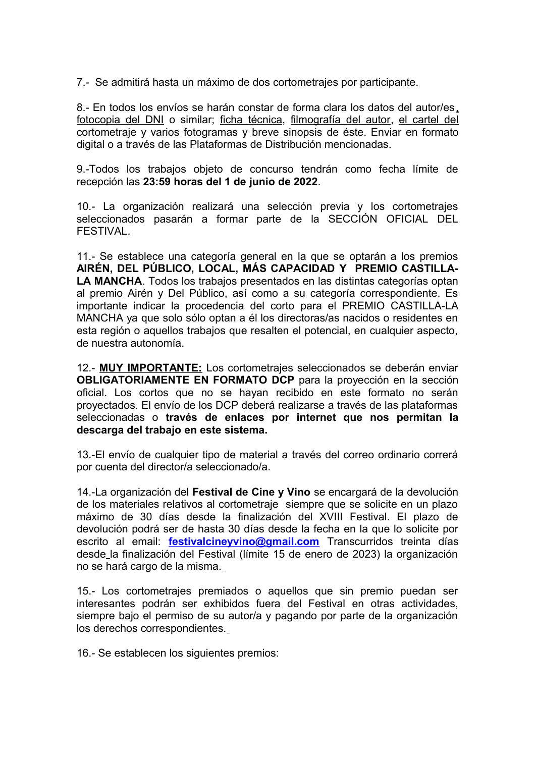7.- Se admitirá hasta un máximo de dos cortometrajes por participante.

8.- En todos los envíos se harán constar de forma clara los datos del autor/es, fotocopia del DNI o similar; ficha técnica, filmografía del autor, el cartel del cortometraje y varios fotogramas y breve sinopsis de éste. Enviar en formato digital o a través de las Plataformas de Distribución mencionadas.

9.-Todos los trabajos objeto de concurso tendrán como fecha límite de recepción las **23:59 horas del 1 de junio de 2022**.

10.- La organización realizará una selección previa y los cortometrajes seleccionados pasarán a formar parte de la SECCIÓN OFICIAL DEL FESTIVAL.

11.- Se establece una categoría general en la que se optarán a los premios **AIRÉN, DEL PÚBLICO, LOCAL, MÁS CAPACIDAD Y PREMIO CASTILLA-LA MANCHA**. Todos los trabajos presentados en las distintas categorías optan al premio Airén y Del Público, así como a su categoría correspondiente. Es importante indicar la procedencia del corto para el PREMIO CASTILLA-LA MANCHA ya que solo sólo optan a él los directoras/as nacidos o residentes en esta región o aquellos trabajos que resalten el potencial, en cualquier aspecto, de nuestra autonomía.

12.- **MUY IMPORTANTE:** Los cortometrajes seleccionados se deberán enviar **OBLIGATORIAMENTE EN FORMATO DCP** para la proyección en la sección oficial. Los cortos que no se hayan recibido en este formato no serán proyectados. El envío de los DCP deberá realizarse a través de las plataformas seleccionadas o **través de enlaces por internet que nos permitan la descarga del trabajo en este sistema.** 

13.-El envío de cualquier tipo de material a través del correo ordinario correrá por cuenta del director/a seleccionado/a.

14.-La organización del **Festival de Cine y Vino** se encargará de la devolución de los materiales relativos al cortometraje siempre que se solicite en un plazo máximo de 30 días desde la finalización del XVIII Festival. El plazo de devolución podrá ser de hasta 30 días desde la fecha en la que lo solicite por escrito al email: **festivalcineyvino@gmail.com** Transcurridos treinta días desde la finalización del Festival (límite 15 de enero de 2023) la organización no se hará cargo de la misma.

15.- Los cortometrajes premiados o aquellos que sin premio puedan ser interesantes podrán ser exhibidos fuera del Festival en otras actividades, siempre bajo el permiso de su autor/a y pagando por parte de la organización los derechos correspondientes.

16.- Se establecen los siguientes premios: